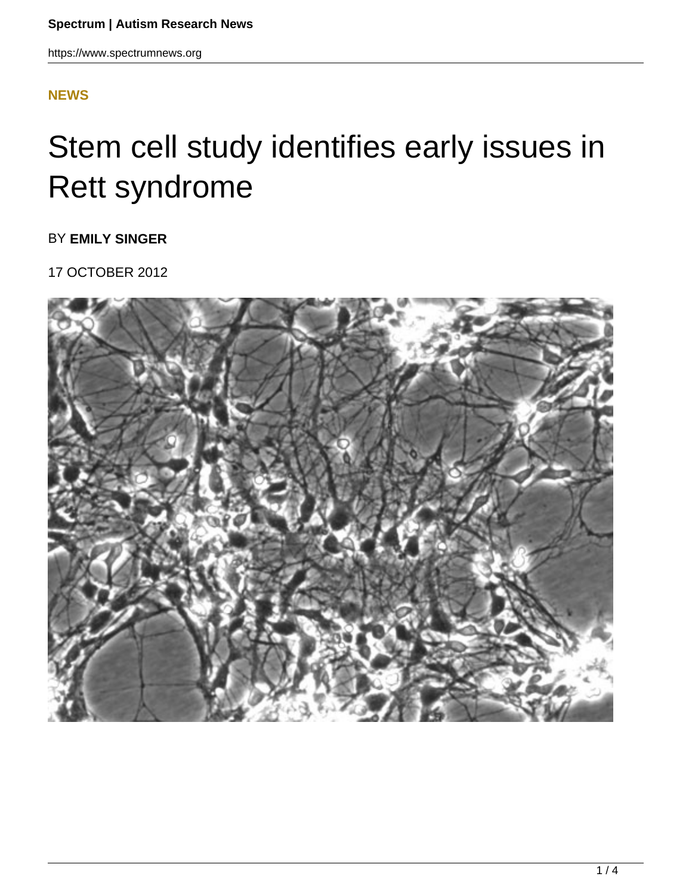## **[NEWS](HTTPS://WWW.SPECTRUMNEWS.ORG/NEWS/)**

## Stem cell study identifies early issues in Rett syndrome

BY **EMILY SINGER**

17 OCTOBER 2012

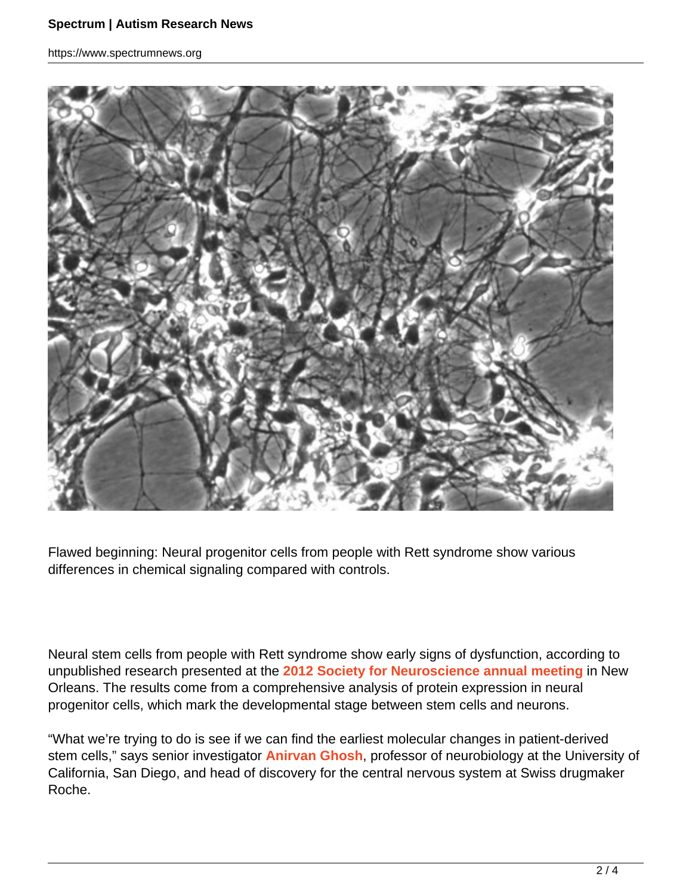https://www.spectrumnews.org



Flawed beginning: Neural progenitor cells from people with Rett syndrome show various differences in chemical signaling compared with controls.

Neural stem cells from people with Rett syndrome show early signs of dysfunction, according to unpublished research presented at the **2012 Society for Neuroscience annual meeting** in New Orleans. The results come from a comprehensive analysis of protein expression in neural progenitor cells, which mark the developmental stage between stem cells and neurons.

"What we're trying to do is see if we can find the earliest molecular changes in patient-derived stem cells," says senior investigator **Anirvan Ghosh**, professor of neurobiology at the University of California, San Diego, and head of discovery for the central nervous system at Swiss drugmaker Roche.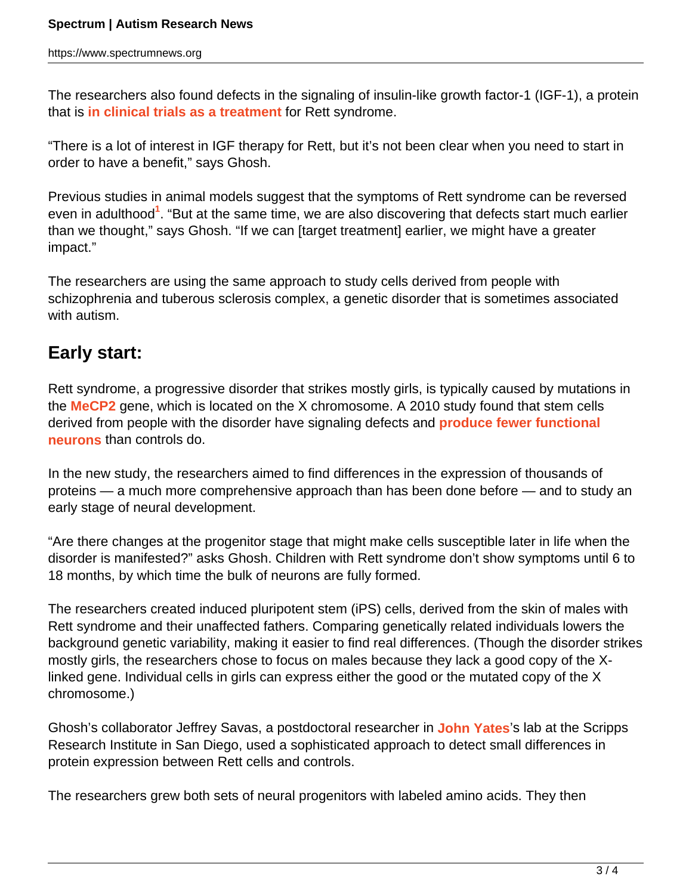The researchers also found defects in the signaling of insulin-like growth factor-1 (IGF-1), a protein that is **in clinical trials as a treatment** for Rett syndrome.

"There is a lot of interest in IGF therapy for Rett, but it's not been clear when you need to start in order to have a benefit," says Ghosh.

Previous studies in animal models suggest that the symptoms of Rett syndrome can be reversed even in adulthood<sup>1</sup>. "But at the same time, we are also discovering that defects start much earlier than we thought," says Ghosh. "If we can [target treatment] earlier, we might have a greater impact."

The researchers are using the same approach to study cells derived from people with schizophrenia and tuberous sclerosis complex, a genetic disorder that is sometimes associated with autism.

## **Early start:**

Rett syndrome, a progressive disorder that strikes mostly girls, is typically caused by mutations in the **MeCP2** gene, which is located on the X chromosome. A 2010 study found that stem cells derived from people with the disorder have signaling defects and **produce fewer functional neurons** than controls do.

In the new study, the researchers aimed to find differences in the expression of thousands of proteins — a much more comprehensive approach than has been done before — and to study an early stage of neural development.

"Are there changes at the progenitor stage that might make cells susceptible later in life when the disorder is manifested?" asks Ghosh. Children with Rett syndrome don't show symptoms until 6 to 18 months, by which time the bulk of neurons are fully formed.

The researchers created induced pluripotent stem (iPS) cells, derived from the skin of males with Rett syndrome and their unaffected fathers. Comparing genetically related individuals lowers the background genetic variability, making it easier to find real differences. (Though the disorder strikes mostly girls, the researchers chose to focus on males because they lack a good copy of the Xlinked gene. Individual cells in girls can express either the good or the mutated copy of the X chromosome.)

Ghosh's collaborator Jeffrey Savas, a postdoctoral researcher in **John Yates**'s lab at the Scripps Research Institute in San Diego, used a sophisticated approach to detect small differences in protein expression between Rett cells and controls.

The researchers grew both sets of neural progenitors with labeled amino acids. They then